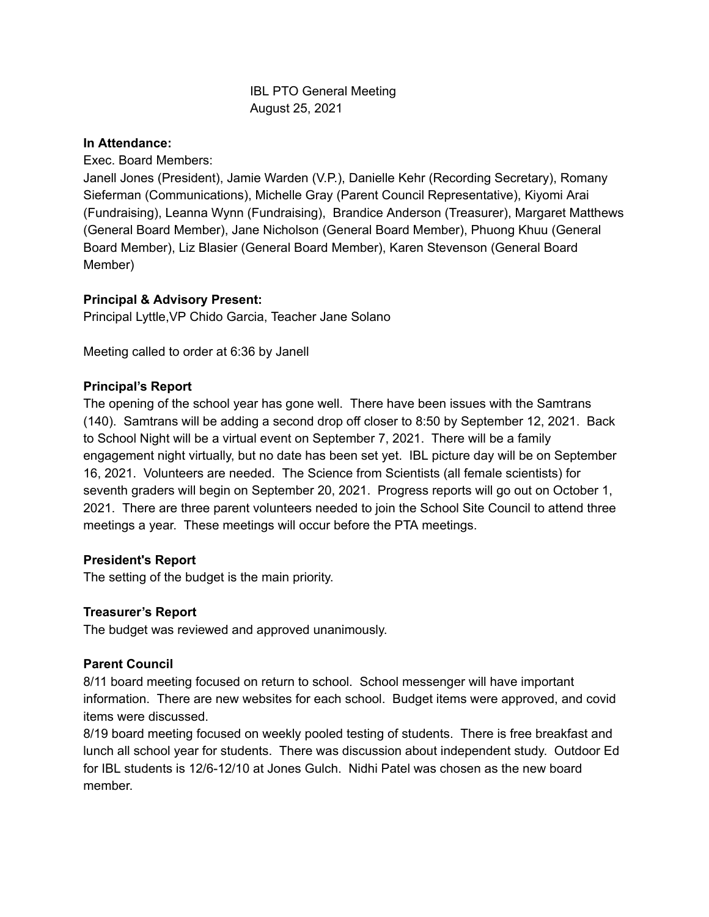# IBL PTO General Meeting August 25, 2021

#### **In Attendance:**

Exec. Board Members:

Janell Jones (President), Jamie Warden (V.P.), Danielle Kehr (Recording Secretary), Romany Sieferman (Communications), Michelle Gray (Parent Council Representative), Kiyomi Arai (Fundraising), Leanna Wynn (Fundraising), Brandice Anderson (Treasurer), Margaret Matthews (General Board Member), Jane Nicholson (General Board Member), Phuong Khuu (General Board Member), Liz Blasier (General Board Member), Karen Stevenson (General Board Member)

# **Principal & Advisory Present:**

Principal Lyttle,VP Chido Garcia, Teacher Jane Solano

Meeting called to order at 6:36 by Janell

# **Principal's Report**

The opening of the school year has gone well. There have been issues with the Samtrans (140). Samtrans will be adding a second drop off closer to 8:50 by September 12, 2021. Back to School Night will be a virtual event on September 7, 2021. There will be a family engagement night virtually, but no date has been set yet. IBL picture day will be on September 16, 2021. Volunteers are needed. The Science from Scientists (all female scientists) for seventh graders will begin on September 20, 2021. Progress reports will go out on October 1, 2021. There are three parent volunteers needed to join the School Site Council to attend three meetings a year. These meetings will occur before the PTA meetings.

### **President's Report**

The setting of the budget is the main priority.

### **Treasurer's Report**

The budget was reviewed and approved unanimously.

### **Parent Council**

8/11 board meeting focused on return to school. School messenger will have important information. There are new websites for each school. Budget items were approved, and covid items were discussed.

8/19 board meeting focused on weekly pooled testing of students. There is free breakfast and lunch all school year for students. There was discussion about independent study. Outdoor Ed for IBL students is 12/6-12/10 at Jones Gulch. Nidhi Patel was chosen as the new board member.